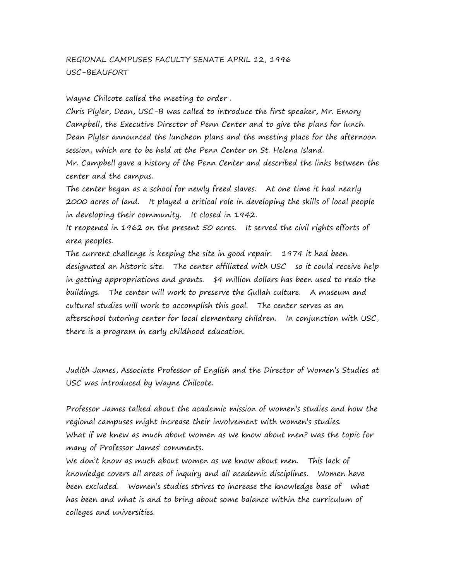# REGIONAL CAMPUSES FACULTY SENATE APRIL 12, 1996 USC-BEAUFORT

Wayne Chilcote called the meeting to order .

Chris Plyler, Dean, USC-B was called to introduce the first speaker, Mr. Emory Campbell, the Executive Director of Penn Center and to give the plans for lunch. Dean Plyler announced the luncheon plans and the meeting place for the afternoon session, which are to be held at the Penn Center on St. Helena Island. Mr. Campbell gave a history of the Penn Center and described the links between the center and the campus.

The center began as a school for newly freed slaves. At one time it had nearly 2000 acres of land. It played a critical role in developing the skills of local people in developing their community. It closed in 1942.

It reopened in 1962 on the present 50 acres. It served the civil rights efforts of area peoples.

The current challenge is keeping the site in good repair. 1974 it had been designated an historic site. The center affiliated with USC so it could receive help in getting appropriations and grants. \$4 million dollars has been used to redo the buildings. The center will work to preserve the Gullah culture. A museum and cultural studies will work to accomplish this goal. The center serves as an afterschool tutoring center for local elementary children. In conjunction with USC, there is a program in early childhood education.

Judith James, Associate Professor of English and the Director of Women's Studies at USC was introduced by Wayne Chilcote.

Professor James talked about the academic mission of women's studies and how the regional campuses might increase their involvement with women's studies. What if we knew as much about women as we know about men? was the topic for many of Professor James' comments.

We don't know as much about women as we know about men. This lack of knowledge covers all areas of inquiry and all academic disciplines. Women have been excluded. Women's studies strives to increase the knowledge base of what has been and what is and to bring about some balance within the curriculum of colleges and universities.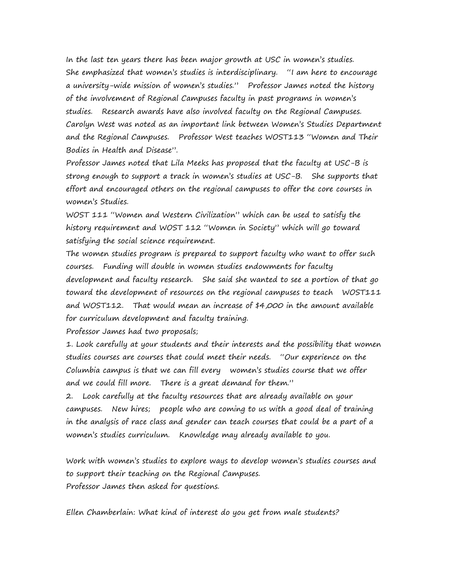In the last ten years there has been major growth at USC in women's studies. She emphasized that women's studies is interdisciplinary. "I am here to encourage a university-wide mission of women's studies." Professor James noted the history of the involvement of Regional Campuses faculty in past programs in women's studies. Research awards have also involved faculty on the Regional Campuses. Carolyn West was noted as an important link between Women's Studies Department and the Regional Campuses. Professor West teaches WOST113 "Women and Their Bodies in Health and Disease".

Professor James noted that Lila Meeks has proposed that the faculty at USC-B is strong enough to support a track in women's studies at USC-B. She supports that effort and encouraged others on the regional campuses to offer the core courses in women's Studies.

WOST 111 "Women and Western Civilization" which can be used to satisfy the history requirement and WOST 112 "Women in Society" which will go toward satisfying the social science requirement.

The women studies program is prepared to support faculty who want to offer such courses. Funding will double in women studies endowments for faculty development and faculty research. She said she wanted to see a portion of that go toward the development of resources on the regional campuses to teach WOST111 and WOST112. That would mean an increase of \$4,000 in the amount available for curriculum development and faculty training.

Professor James had two proposals;

1. Look carefully at your students and their interests and the possibility that women studies courses are courses that could meet their needs. "Our experience on the Columbia campus is that we can fill every women's studies course that we offer and we could fill more. There is a great demand for them."

2. Look carefully at the faculty resources that are already available on your campuses. New hires; people who are coming to us with a good deal of training in the analysis of race class and gender can teach courses that could be a part of a women's studies curriculum. Knowledge may already available to you.

Work with women's studies to explore ways to develop women's studies courses and to support their teaching on the Regional Campuses. Professor James then asked for questions.

Ellen Chamberlain: What kind of interest do you get from male students?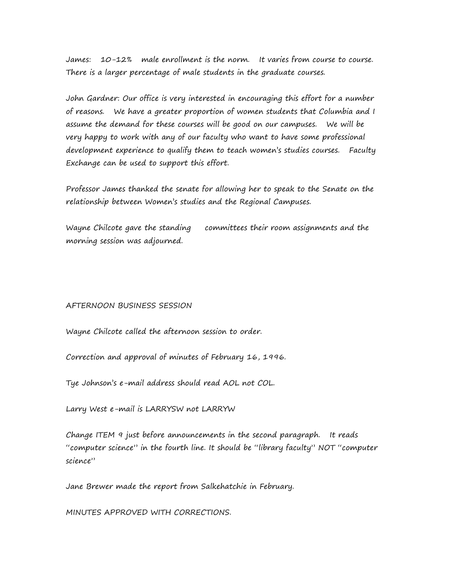James: 10-12% male enrollment is the norm. It varies from course to course. There is a larger percentage of male students in the graduate courses.

John Gardner: Our office is very interested in encouraging this effort for a number of reasons. We have a greater proportion of women students that Columbia and I assume the demand for these courses will be good on our campuses. We will be very happy to work with any of our faculty who want to have some professional development experience to qualify them to teach women's studies courses. Faculty Exchange can be used to support this effort.

Professor James thanked the senate for allowing her to speak to the Senate on the relationship between Women's studies and the Regional Campuses.

Wayne Chilcote gave the standing committees their room assignments and the morning session was adjourned.

#### AFTERNOON BUSINESS SESSION

Wayne Chilcote called the afternoon session to order.

Correction and approval of minutes of February 16, 1996.

Tye Johnson's e-mail address should read AOL not COL.

Larry West e-mail is LARRYSW not LARRYW

Change ITEM 9 just before announcements in the second paragraph. It reads "computer science" in the fourth line. It should be "library faculty" NOT "computer science"

Jane Brewer made the report from Salkehatchie in February.

MINUTES APPROVED WITH CORRECTIONS.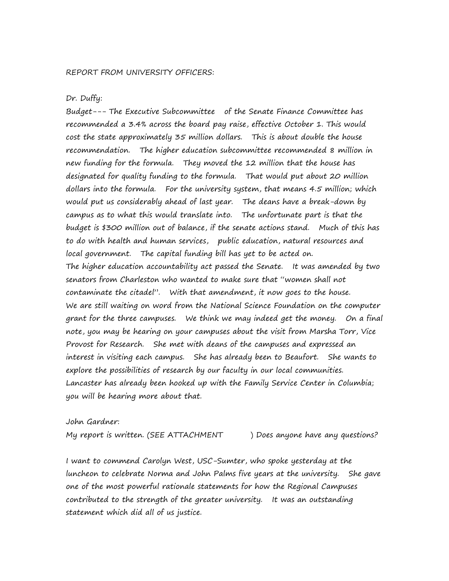#### Dr. Duffy:

Budget--- The Executive Subcommittee of the Senate Finance Committee has recommended a 3.4% across the board pay raise, effective October 1. This would cost the state approximately 35 million dollars. This is about double the house recommendation. The higher education subcommittee recommended 8 million in new funding for the formula. They moved the 12 million that the house has designated for quality funding to the formula. That would put about 20 million dollars into the formula. For the university system, that means 4.5 million; which would put us considerably ahead of last year. The deans have a break-down by campus as to what this would translate into. The unfortunate part is that the budget is \$300 million out of balance, if the senate actions stand. Much of this has to do with health and human services, public education, natural resources and local government. The capital funding bill has yet to be acted on. The higher education accountability act passed the Senate. It was amended by two senators from Charleston who wanted to make sure that "women shall not contaminate the citadel". With that amendment, it now goes to the house. We are still waiting on word from the National Science Foundation on the computer grant for the three campuses. We think we may indeed get the money. On a final note, you may be hearing on your campuses about the visit from Marsha Torr, Vice Provost for Research. She met with deans of the campuses and expressed an interest in visiting each campus. She has already been to Beaufort. She wants to explore the possibilities of research by our faculty in our local communities. Lancaster has already been hooked up with the Family Service Center in Columbia; you will be hearing more about that.

## John Gardner:

My report is written. (SEE ATTACHMENT ) Does anyone have any questions?

I want to commend Carolyn West, USC-Sumter, who spoke yesterday at the luncheon to celebrate Norma and John Palms five years at the university. She gave one of the most powerful rationale statements for how the Regional Campuses contributed to the strength of the greater university. It was an outstanding statement which did all of us justice.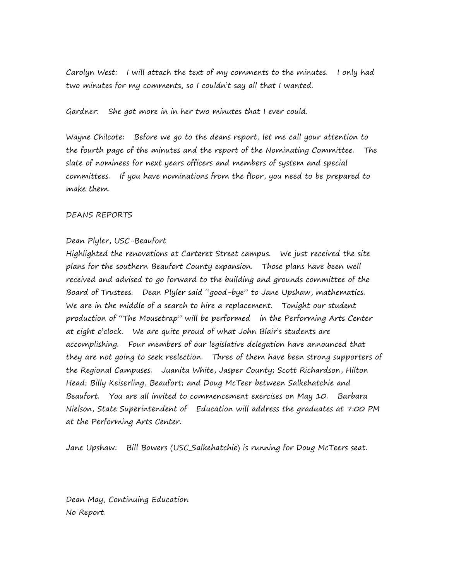Carolyn West: I will attach the text of my comments to the minutes. I only had two minutes for my comments, so I couldn't say all that I wanted.

Gardner: She got more in in her two minutes that I ever could.

Wayne Chilcote: Before we go to the deans report, let me call your attention to the fourth page of the minutes and the report of the Nominating Committee. The slate of nominees for next years officers and members of system and special committees. If you have nominations from the floor, you need to be prepared to make them.

# DEANS REPORTS

# Dean Plyler, USC-Beaufort

Highlighted the renovations at Carteret Street campus. We just received the site plans for the southern Beaufort County expansion. Those plans have been well received and advised to go forward to the building and grounds committee of the Board of Trustees. Dean Plyler said "good-bye" to Jane Upshaw, mathematics. We are in the middle of a search to hire a replacement. Tonight our student production of "The Mousetrap" will be performed in the Performing Arts Center at eight o'clock. We are quite proud of what John Blair's students are accomplishing. Four members of our legislative delegation have announced that they are not going to seek reelection. Three of them have been strong supporters of the Regional Campuses. Juanita White, Jasper County; Scott Richardson, Hilton Head; Billy Keiserling, Beaufort; and Doug McTeer between Salkehatchie and Beaufort. You are all invited to commencement exercises on May 10. Barbara Nielson, State Superintendent of Education will address the graduates at 7:00 PM at the Performing Arts Center.

Jane Upshaw: Bill Bowers (USC\_Salkehatchie) is running for Doug McTeers seat.

Dean May, Continuing Education No Report.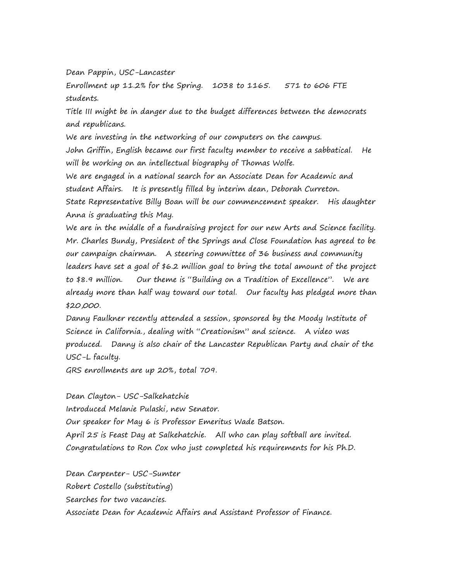Dean Pappin, USC-Lancaster

Enrollment up 11.2% for the Spring. 1038 to 1165. 571 to 606 FTE students.

Title III might be in danger due to the budget differences between the democrats and republicans.

We are investing in the networking of our computers on the campus.

John Griffin, English became our first faculty member to receive a sabbatical. He will be working on an intellectual biography of Thomas Wolfe.

We are engaged in a national search for an Associate Dean for Academic and student Affairs. It is presently filled by interim dean, Deborah Curreton.

State Representative Billy Boan will be our commencement speaker. His daughter Anna is graduating this May.

We are in the middle of a fundraising project for our new Arts and Science facility. Mr. Charles Bundy, President of the Springs and Close Foundation has agreed to be our campaign chairman. A steering committee of 36 business and community leaders have set a goal of \$6.2 million goal to bring the total amount of the project to \$8.9 million. Our theme is "Building on a Tradition of Excellence". We are already more than half way toward our total. Our faculty has pledged more than \$20,000.

Danny Faulkner recently attended a session, sponsored by the Moody Institute of Science in California., dealing with "Creationism" and science. A video was produced. Danny is also chair of the Lancaster Republican Party and chair of the USC-L faculty.

GRS enrollments are up 20%, total 709.

Dean Clayton- USC-Salkehatchie Introduced Melanie Pulaski, new Senator. Our speaker for May 6 is Professor Emeritus Wade Batson. April 25 is Feast Day at Salkehatchie. All who can play softball are invited. Congratulations to Ron Cox who just completed his requirements for his Ph.D.

Dean Carpenter- USC-Sumter Robert Costello (substituting) Searches for two vacancies. Associate Dean for Academic Affairs and Assistant Professor of Finance.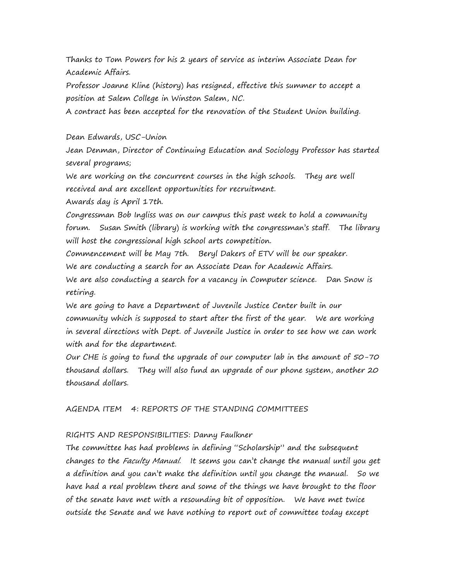Thanks to Tom Powers for his 2 years of service as interim Associate Dean for Academic Affairs.

Professor Joanne Kline (history) has resigned, effective this summer to accept a position at Salem College in Winston Salem, NC.

A contract has been accepted for the renovation of the Student Union building.

# Dean Edwards, USC-Union

Jean Denman, Director of Continuing Education and Sociology Professor has started several programs;

We are working on the concurrent courses in the high schools. They are well received and are excellent opportunities for recruitment.

Awards day is April 17th.

Congressman Bob Ingliss was on our campus this past week to hold a community forum. Susan Smith (library) is working with the congressman's staff. The library will host the congressional high school arts competition.

Commencement will be May 7th. Beryl Dakers of ETV will be our speaker.

We are conducting a search for an Associate Dean for Academic Affairs.

We are also conducting a search for a vacancy in Computer science. Dan Snow is retiring.

We are going to have a Department of Juvenile Justice Center built in our community which is supposed to start after the first of the year. We are working in several directions with Dept. of Juvenile Justice in order to see how we can work with and for the department.

Our CHE is going to fund the upgrade of our computer lab in the amount of 50-70 thousand dollars. They will also fund an upgrade of our phone system, another 20 thousand dollars.

AGENDA ITEM 4: REPORTS OF THE STANDING COMMITTEES

# RIGHTS AND RESPONSIBILITIES: Danny Faulkner

The committee has had problems in defining "Scholarship" and the subsequent changes to the Faculty Manual. It seems you can't change the manual until you get a definition and you can't make the definition until you change the manual. So we have had a real problem there and some of the things we have brought to the floor of the senate have met with a resounding bit of opposition. We have met twice outside the Senate and we have nothing to report out of committee today except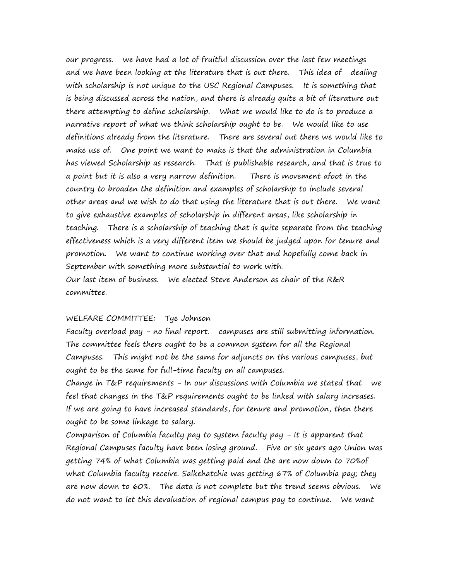our progress. we have had a lot of fruitful discussion over the last few meetings and we have been looking at the literature that is out there. This idea of dealing with scholarship is not unique to the USC Regional Campuses. It is something that is being discussed across the nation, and there is already quite a bit of literature out there attempting to define scholarship. What we would like to do is to produce a narrative report of what we think scholarship ought to be. We would like to use definitions already from the literature. There are several out there we would like to make use of. One point we want to make is that the administration in Columbia has viewed Scholarship as research. That is publishable research, and that is true to a point but it is also a very narrow definition. There is movement afoot in the country to broaden the definition and examples of scholarship to include several other areas and we wish to do that using the literature that is out there. We want to give exhaustive examples of scholarship in different areas, like scholarship in teaching. There is a scholarship of teaching that is quite separate from the teaching effectiveness which is a very different item we should be judged upon for tenure and promotion. We want to continue working over that and hopefully come back in September with something more substantial to work with. Our last item of business. We elected Steve Anderson as chair of the R&R committee.

### WELFARE COMMITTEE: Tye Johnson

Faculty overload pay - no final report. campuses are still submitting information. The committee feels there ought to be a common system for all the Regional Campuses. This might not be the same for adjuncts on the various campuses, but ought to be the same for full-time faculty on all campuses.

Change in T&P requirements - In our discussions with Columbia we stated that we feel that changes in the T&P requirements ought to be linked with salary increases. If we are going to have increased standards, for tenure and promotion, then there ought to be some linkage to salary.

Comparison of Columbia faculty pay to system faculty pay - It is apparent that Regional Campuses faculty have been losing ground. Five or six years ago Union was getting 74% of what Columbia was getting paid and the are now down to 70%of what Columbia faculty receive. Salkehatchie was getting 67% of Columbia pay; they are now down to 60%. The data is not complete but the trend seems obvious. We do not want to let this devaluation of regional campus pay to continue. We want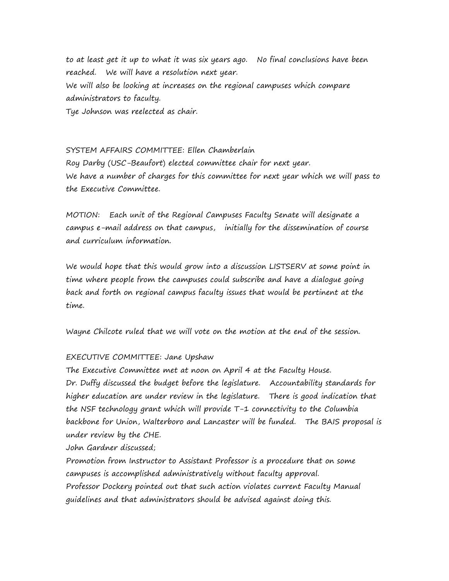to at least get it up to what it was six years ago. No final conclusions have been reached. We will have a resolution next year. We will also be looking at increases on the regional campuses which compare administrators to faculty. Tye Johnson was reelected as chair.

SYSTEM AFFAIRS COMMITTEE: Ellen Chamberlain Roy Darby (USC-Beaufort) elected committee chair for next year. We have a number of charges for this committee for next year which we will pass to the Executive Committee.

MOTION: Each unit of the Regional Campuses Faculty Senate will designate a campus e-mail address on that campus, initially for the dissemination of course and curriculum information.

We would hope that this would grow into a discussion LISTSERV at some point in time where people from the campuses could subscribe and have a dialogue going back and forth on regional campus faculty issues that would be pertinent at the time.

Wayne Chilcote ruled that we will vote on the motion at the end of the session.

#### EXECUTIVE COMMITTEE: Jane Upshaw

The Executive Committee met at noon on April 4 at the Faculty House. Dr. Duffy discussed the budget before the legislature. Accountability standards for higher education are under review in the legislature. There is good indication that the NSF technology grant which will provide T-1 connectivity to the Columbia backbone for Union, Walterboro and Lancaster will be funded. The BAIS proposal is under review by the CHE.

John Gardner discussed;

Promotion from Instructor to Assistant Professor is a procedure that on some campuses is accomplished administratively without faculty approval. Professor Dockery pointed out that such action violates current Faculty Manual guidelines and that administrators should be advised against doing this.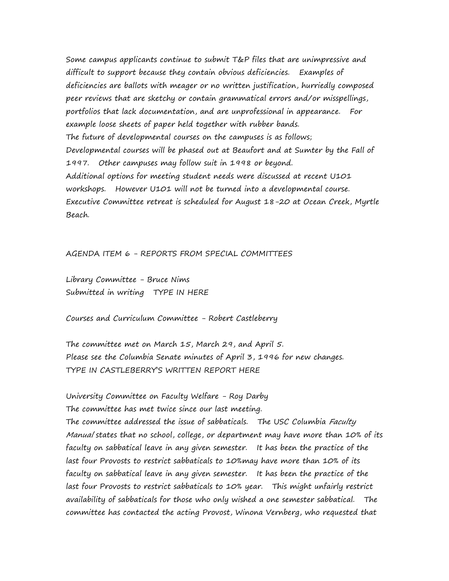Some campus applicants continue to submit T&P files that are unimpressive and difficult to support because they contain obvious deficiencies. Examples of deficiencies are ballots with meager or no written justification, hurriedly composed peer reviews that are sketchy or contain grammatical errors and/or misspellings, portfolios that lack documentation, and are unprofessional in appearance. For example loose sheets of paper held together with rubber bands. The future of developmental courses on the campuses is as follows; Developmental courses will be phased out at Beaufort and at Sumter by the Fall of 1997. Other campuses may follow suit in 1998 or beyond. Additional options for meeting student needs were discussed at recent U101 workshops. However U101 will not be turned into a developmental course. Executive Committee retreat is scheduled for August 18-20 at Ocean Creek, Myrtle Beach.

### AGENDA ITEM 6 - REPORTS FROM SPECIAL COMMITTEES

Library Committee - Bruce Nims Submitted in writing TYPE IN HERE

Courses and Curriculum Committee - Robert Castleberry

The committee met on March 15, March 29, and April 5. Please see the Columbia Senate minutes of April 3, 1996 for new changes. TYPE IN CASTLEBERRY'S WRITTEN REPORT HERE

University Committee on Faculty Welfare - Roy Darby The committee has met twice since our last meeting. The committee addressed the issue of sabbaticals. The USC Columbia Faculty Manual states that no school, college, or department may have more than 10% of its faculty on sabbatical leave in any given semester. It has been the practice of the last four Provosts to restrict sabbaticals to 10%may have more than 10% of its faculty on sabbatical leave in any given semester. It has been the practice of the last four Provosts to restrict sabbaticals to 10% year. This might unfairly restrict availability of sabbaticals for those who only wished a one semester sabbatical. The committee has contacted the acting Provost, Winona Vernberg, who requested that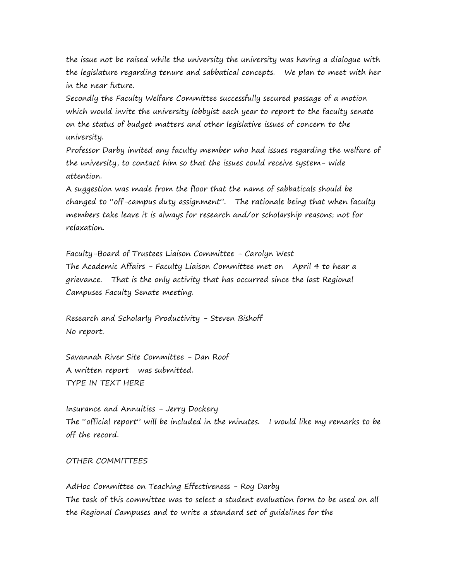the issue not be raised while the university the university was having a dialogue with the legislature regarding tenure and sabbatical concepts. We plan to meet with her in the near future.

Secondly the Faculty Welfare Committee successfully secured passage of a motion which would invite the university lobbyist each year to report to the faculty senate on the status of budget matters and other legislative issues of concern to the university.

Professor Darby invited any faculty member who had issues regarding the welfare of the university, to contact him so that the issues could receive system- wide attention.

A suggestion was made from the floor that the name of sabbaticals should be changed to "off-campus duty assignment". The rationale being that when faculty members take leave it is always for research and/or scholarship reasons; not for relaxation.

Faculty-Board of Trustees Liaison Committee - Carolyn West The Academic Affairs - Faculty Liaison Committee met on April 4 to hear a grievance. That is the only activity that has occurred since the last Regional Campuses Faculty Senate meeting.

Research and Scholarly Productivity - Steven Bishoff No report.

Savannah River Site Committee - Dan Roof A written report was submitted. TYPE IN TEXT HERE

Insurance and Annuities - Jerry Dockery The "official report" will be included in the minutes. I would like my remarks to be off the record.

### OTHER COMMITTEES

AdHoc Committee on Teaching Effectiveness - Roy Darby The task of this committee was to select a student evaluation form to be used on all the Regional Campuses and to write a standard set of guidelines for the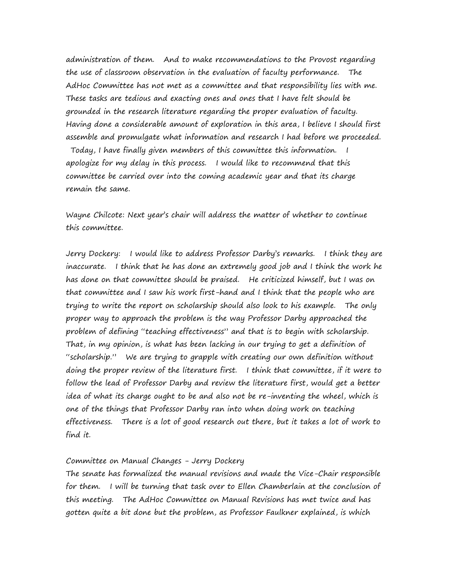administration of them. And to make recommendations to the Provost regarding the use of classroom observation in the evaluation of faculty performance. The AdHoc Committee has not met as a committee and that responsibility lies with me. These tasks are tedious and exacting ones and ones that I have felt should be grounded in the research literature regarding the proper evaluation of faculty. Having done a considerable amount of exploration in this area, I believe I should first assemble and promulgate what information and research I had before we proceeded. Today, I have finally given members of this committee this information. I apologize for my delay in this process. I would like to recommend that this committee be carried over into the coming academic year and that its charge remain the same.

Wayne Chilcote: Next year's chair will address the matter of whether to continue this committee.

Jerry Dockery: I would like to address Professor Darby's remarks. I think they are inaccurate. I think that he has done an extremely good job and I think the work he has done on that committee should be praised. He criticized himself, but I was on that committee and I saw his work first-hand and I think that the people who are trying to write the report on scholarship should also look to his example. The only proper way to approach the problem is the way Professor Darby approached the problem of defining "teaching effectiveness" and that is to begin with scholarship. That, in my opinion, is what has been lacking in our trying to get a definition of "scholarship." We are trying to grapple with creating our own definition without doing the proper review of the literature first. I think that committee, if it were to follow the lead of Professor Darby and review the literature first, would get a better idea of what its charge ought to be and also not be re-inventing the wheel, which is one of the things that Professor Darby ran into when doing work on teaching effectiveness. There is a lot of good research out there, but it takes a lot of work to find it.

## Committee on Manual Changes - Jerry Dockery

The senate has formalized the manual revisions and made the Vice-Chair responsible for them. I will be turning that task over to Ellen Chamberlain at the conclusion of this meeting. The AdHoc Committee on Manual Revisions has met twice and has gotten quite a bit done but the problem, as Professor Faulkner explained, is which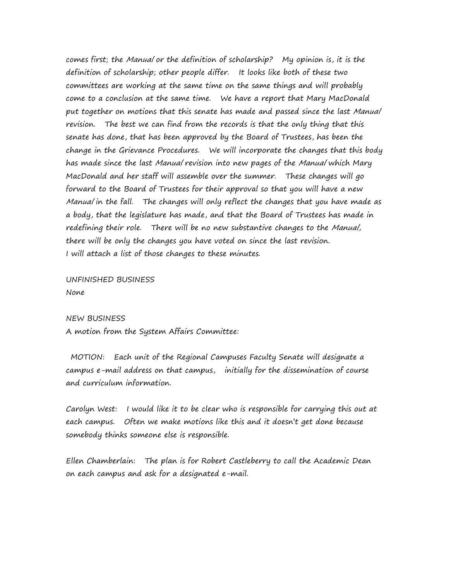comes first; the Manual or the definition of scholarship? My opinion is, it is the definition of scholarship; other people differ. It looks like both of these two committees are working at the same time on the same things and will probably come to a conclusion at the same time. We have a report that Mary MacDonald put together on motions that this senate has made and passed since the last Manual revision. The best we can find from the records is that the only thing that this senate has done, that has been approved by the Board of Trustees, has been the change in the Grievance Procedures. We will incorporate the changes that this body has made since the last Manual revision into new pages of the Manual which Mary MacDonald and her staff will assemble over the summer. These changes will go forward to the Board of Trustees for their approval so that you will have a new Manual in the fall. The changes will only reflect the changes that you have made as a body, that the legislature has made, and that the Board of Trustees has made in redefining their role. There will be no new substantive changes to the Manual, there will be only the changes you have voted on since the last revision. I will attach a list of those changes to these minutes.

UNFINISHED BUSINESS None

#### NEW BUSINESS

A motion from the System Affairs Committee:

MOTION: Each unit of the Regional Campuses Faculty Senate will designate a campus e-mail address on that campus, initially for the dissemination of course and curriculum information.

Carolyn West: I would like it to be clear who is responsible for carrying this out at each campus. Often we make motions like this and it doesn't get done because somebody thinks someone else is responsible.

Ellen Chamberlain: The plan is for Robert Castleberry to call the Academic Dean on each campus and ask for a designated e-mail.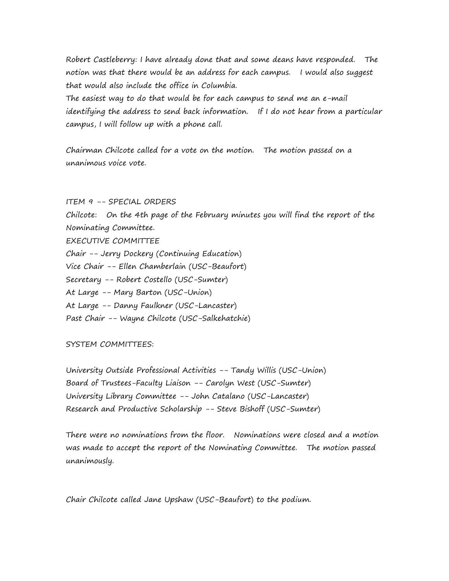Robert Castleberry: I have already done that and some deans have responded. The notion was that there would be an address for each campus. I would also suggest that would also include the office in Columbia.

The easiest way to do that would be for each campus to send me an e-mail identifying the address to send back information. If I do not hear from a particular campus, I will follow up with a phone call.

Chairman Chilcote called for a vote on the motion. The motion passed on a unanimous voice vote.

ITEM 9 -- SPECIAL ORDERS Chilcote: On the 4th page of the February minutes you will find the report of the Nominating Committee. EXECUTIVE COMMITTEE Chair -- Jerry Dockery (Continuing Education) Vice Chair -- Ellen Chamberlain (USC-Beaufort) Secretary -- Robert Costello (USC-Sumter) At Large -- Mary Barton (USC-Union) At Large -- Danny Faulkner (USC-Lancaster) Past Chair -- Wayne Chilcote (USC-Salkehatchie)

SYSTEM COMMITTEES:

University Outside Professional Activities -- Tandy Willis (USC-Union) Board of Trustees-Faculty Liaison -- Carolyn West (USC-Sumter) University Library Committee -- John Catalano (USC-Lancaster) Research and Productive Scholarship -- Steve Bishoff (USC-Sumter)

There were no nominations from the floor. Nominations were closed and a motion was made to accept the report of the Nominating Committee. The motion passed unanimously.

Chair Chilcote called Jane Upshaw (USC-Beaufort) to the podium.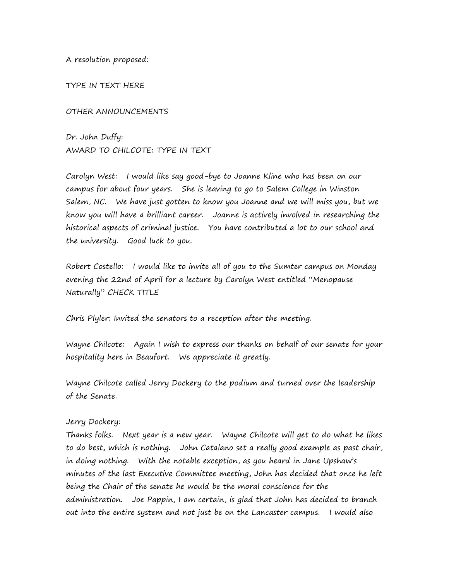A resolution proposed:

TYPE IN TEXT HERE

OTHER ANNOUNCEMENTS

Dr. John Duffy: AWARD TO CHILCOTE: TYPE IN TEXT

Carolyn West: I would like say good-bye to Joanne Kline who has been on our campus for about four years. She is leaving to go to Salem College in Winston Salem, NC. We have just gotten to know you Joanne and we will miss you, but we know you will have a brilliant career. Joanne is actively involved in researching the historical aspects of criminal justice. You have contributed a lot to our school and the university. Good luck to you.

Robert Costello: I would like to invite all of you to the Sumter campus on Monday evening the 22nd of April for a lecture by Carolyn West entitled "Menopause Naturally" CHECK TITLE

Chris Plyler: Invited the senators to a reception after the meeting.

Wayne Chilcote: Again I wish to express our thanks on behalf of our senate for your hospitality here in Beaufort. We appreciate it greatly.

Wayne Chilcote called Jerry Dockery to the podium and turned over the leadership of the Senate.

# Jerry Dockery:

Thanks folks. Next year is a new year. Wayne Chilcote will get to do what he likes to do best, which is nothing. John Catalano set a really good example as past chair, in doing nothing. With the notable exception, as you heard in Jane Upshaw's minutes of the last Executive Committee meeting, John has decided that once he left being the Chair of the senate he would be the moral conscience for the administration. Joe Pappin, I am certain, is glad that John has decided to branch out into the entire system and not just be on the Lancaster campus. I would also